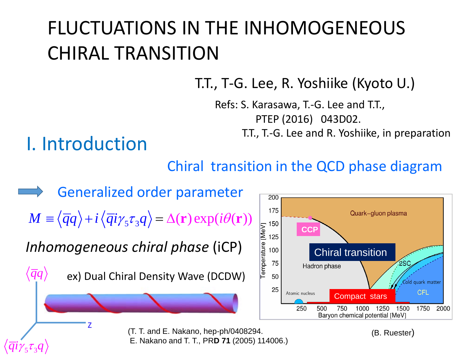# FLUCTUATIONS IN THE INHOMOGENEOUS CHIRAL TRANSITION

T.T., T-G. Lee, R. Yoshiike (Kyoto U.)

Refs: S. Karasawa, T.-G. Lee and T.T., PTEP (2016) 043D02.

T.T., T.-G. Lee and R. Yoshiike, in preparation

## I. Introduction

#### Chiral transition in the QCD phase diagram

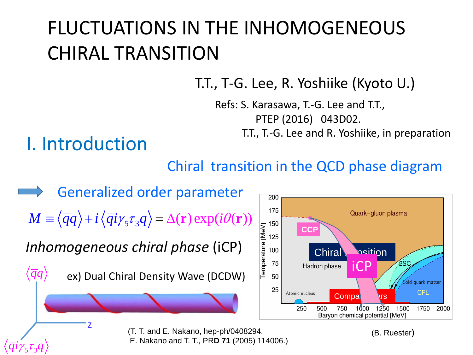# FLUCTUATIONS IN THE INHOMOGENEOUS CHIRAL TRANSITION

T.T., T-G. Lee, R. Yoshiike (Kyoto U.)

Refs: S. Karasawa, T.-G. Lee and T.T., PTEP (2016) 043D02.

T.T., T.-G. Lee and R. Yoshiike, in preparation

## I. Introduction

#### Chiral transition in the QCD phase diagram

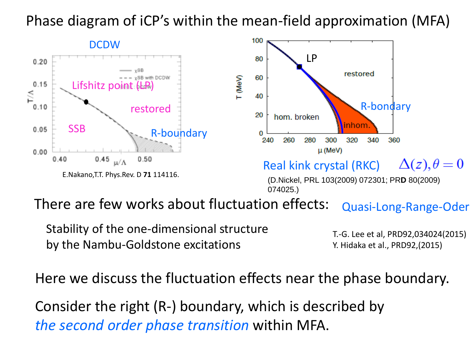#### Phase diagram of iCP's within the mean-field approximation (MFA)



There are few works about fluctuation effects: Quasi-Long-Range-Oder

Stability of the one-dimensional structure by the Nambu-Goldstone excitations

T.-G. Lee et al, PRD92,034024(2015) Y. Hidaka et al., PRD92,(2015)

Here we discuss the fluctuation effects near the phase boundary.

Consider the right (R-) boundary, which is described by *the second order phase transition* within MFA.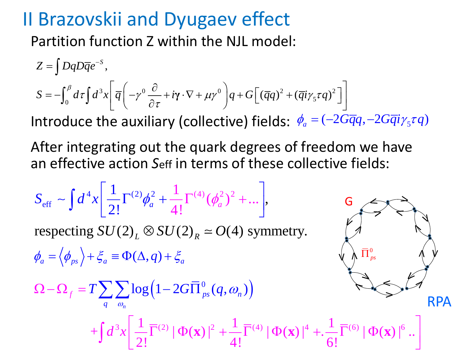## II Brazovskii and Dyugaev effect

Partition function Z within the NJL model:

$$
Z = \int DqD\overline{q}e^{-s},
$$
  
\n
$$
S = -\int_0^{\beta} d\tau \int d^3x \left[ \overline{q} \left( -\gamma^0 \frac{\partial}{\partial \tau} + i\gamma \cdot \nabla + \mu \gamma^0 \right) q + G \left[ (\overline{q}q)^2 + (\overline{q}i\gamma_5 \tau q)^2 \right] \right]
$$
  
\nIntroduce the auxiliary (collective) fields:  $\phi_a = (-2G\overline{q}q, -2G\overline{q}i\gamma_5 \tau q)$ 

an effective action *S*eff in terms of these collective fields: After integrating out the quark degrees of freedom we have

$$
S_{\text{eff}} \sim \int d^4x \left[ \frac{1}{2!} \Gamma^{(2)} \phi_a^2 + \frac{1}{4!} \Gamma^{(4)} (\phi_a^2)^2 + \dots \right],
$$
  
\n
$$
\phi_a = \left\langle \phi_{ps} \right\rangle + \xi_a \equiv \Phi(\Delta, q) + \xi_a
$$
  
\n
$$
\Omega - \Omega_f = T \sum_{q} \sum_{\omega_n} \log \left( 1 - 2G \overline{\Pi}_{ps}^0(q, \omega_n) \right)
$$
  
\n
$$
+ \int d^3x \left[ \frac{1}{2!} \overline{\Gamma}^{(2)} | \Phi(\mathbf{x}) |^2 + \frac{1}{4!} \overline{\Gamma}^{(4)} | \Phi(\mathbf{x}) |^4 + \frac{1}{6!} \overline{\Gamma}^{(6)} | \Phi(\mathbf{x}) |^6 \right].
$$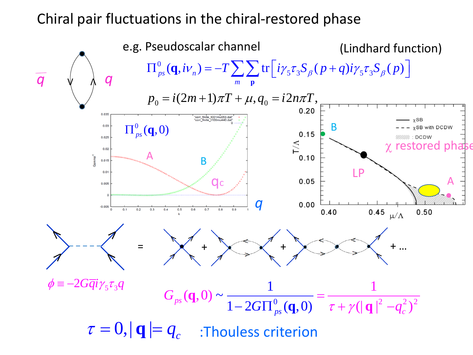#### Chiral pair fluctuations in the chiral-restored phase

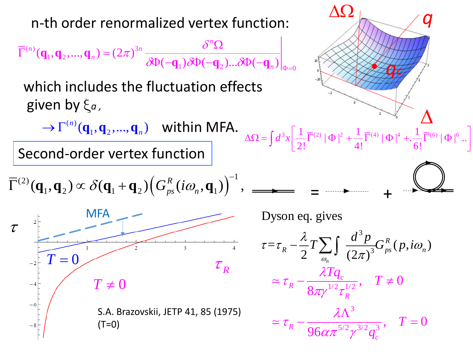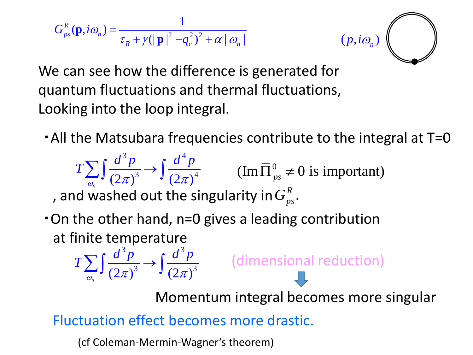$$
G_{ps}^{R}(\mathbf{p}, i\omega_{n}) = \frac{1}{\tau_{R} + \gamma (|\mathbf{p}|^{2} - q_{c}^{2})^{2} + \alpha |\omega_{n}|}
$$



We can see how the difference is generated for quantum fluctuations and thermal fluctuations, Looking into the loop integral.

・All the Matsubara frequencies contribute to the integral at T=0

 $3<sub>n</sub>$   $d<sup>4</sup>$  $\int_{\pi}^{1}$  (2 $\pi$ )<sup>3</sup>  $\int$  (2 $\pi$ )<sup>4</sup>  $T\sum \int \frac{d^3p}{(p^2)^3} \rightarrow \int \frac{d^4p}{(p^2)^4}$  $\sum_{\omega} \int \frac{d^2 p}{(2\pi)^3} \rightarrow \int \frac{d^2 p}{(2\pi)^4}$  (Im  $\overline{\Pi}^0_{ps} \neq 0$  is important)

, and washed out the singularity in  $G_{n_{\infty}}^R$ .

・On the other hand, n=0 gives a leading contribution at finite temperature  $3<sub>n</sub>$   $d<sup>3</sup>$ 

 $\sum_{\omega} \int \frac{d^2 p}{(2\pi)^3} \rightarrow \int \frac{d^2 p}{(2\pi)^3}$  (dimensional reduction)

Momentum integral becomes more singular

Fluctuation effect becomes more drastic.

(cf Coleman-Mermin-Wagner's theorem)

 $\int_{\pi}^{1}$  (2 $\pi$ )<sup>3</sup>  $\int$  (2 $\pi$ )<sup>3</sup>

 $T\sum \left(\frac{d^3p}{a^3p^3}\right)$   $\left(\frac{d^3p}{a^3p^3}\right)$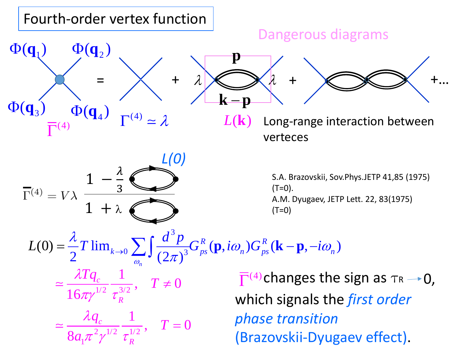#### Long-range interaction between verteces  $\Phi(\mathbf{q}_1)$  $\Phi(q_4)$  $\Phi(\mathbf{q}_2)$  $\Phi(q)$  $\overline{\Gamma}^{(4)}$  $=$   $\times$  +  $\lambda$   $\otimes$   $\lambda$  +  $\otimes$   $\otimes$  +...  $\Gamma^{(4)} \simeq \lambda$ λ λ  $L(\mathbf{k})$ **p k** − **p** Dangerous diagrams 3  $(0) = \frac{\lambda}{2} T \lim_{k \to 0} \sum_{\omega_n} \int \frac{dP}{(2\pi)^3} G_{ps}^R(\mathbf{p}, i\omega_n) G_{ps}^R(\mathbf{k} - \mathbf{p}, -i\omega_n)$ *n*  $L(0) = \frac{\lambda}{2} T \lim_{k \to 0} \sum \int \frac{d^3 p}{(2-\lambda)^3} G_{ps}^R(\mathbf{p}, i\omega_n) G_{ps}^R(\mathbf{k}-\mathbf{p}, -i\omega_n)$ ω  $\omega$  )  $G^{\dagger}$  (**K** – **p**, –1 $\omega$  $\pi$  $=\frac{\lambda}{2}T\lim_{k\to 0}\sum_{\mathbf{p}}\int \frac{d\mathbf{p}}{(\mathbf{p},\mathbf{p})^3}G_{ps}^R(\mathbf{p},i\omega_n)G_{ps}^R(\mathbf{k}-\mathbf{p},-i\omega_n)$  $1/2$   $-3/2$  $2^{1/2}$   $7^{1/2}$ 1  $\frac{\lambda Tq_c}{16\pi\gamma^{1/2}}\frac{1}{\tau_R^{3/2}},\quad T\neq 0$  $\simeq \frac{\lambda q_c}{8 a_1 \pi^2 \gamma^{1/2}} \frac{1}{\tau_R^{1/2}}, \quad T=0$ *c R c R*  $\frac{\lambda T q_c}{\lambda} \frac{1}{\lambda^2}$ ,  $T$  $\frac{q_c}{q_2} \frac{1}{1/2}$ , *T a*  $\pi$ γ τ  $\lambda$  $\pi^-\gamma^-\tau$  $\simeq \frac{7.1 q_c}{1.6 \sqrt{1/2}} \frac{1}{3/2}, T \neq$ =  $\approx$ S.A. Brazovskii, Sov.Phys.JETP 41,85 (1975)  $(T=0)$ . A.M. Dyugaev, JETP Lett. 22, 83(1975)  $(T=0)$ Fourth-order vertex function  $1 + \lambda$  $\overline{\Gamma}^{(4)} = V\lambda$  $\overline{3}$  $\overline{\Gamma}^{(4)}$ changes the sign as  $\tau_R \rightarrow 0$ , which signals the *first order phase transition* (Brazovskii-Dyugaev effect). *L(0)*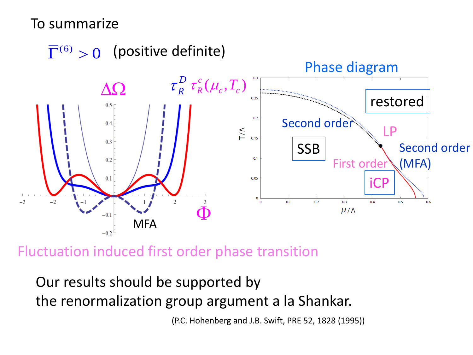#### To summarize



Fluctuation induced first order phase transition

Our results should be supported by the renormalization group argument a la Shankar.

(P.C. Hohenberg and J.B. Swift, PRE 52, 1828 (1995))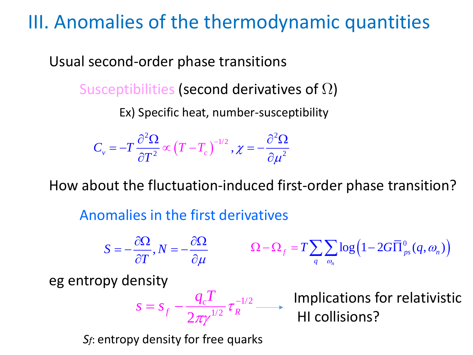### III. Anomalies of the thermodynamic quantities

Usual second-order phase transitions

Susceptibilities (second derivatives of  $\Omega$ )

Ex) Specific heat, number-susceptibility

$$
C_{v} = -T \frac{\partial^2 \Omega}{\partial T^2} \propto (T - T_c)^{-1/2}, \chi = -\frac{\partial^2 \Omega}{\partial \mu^2}
$$

How about the fluctuation-induced first-order phase transition?

Anomalies in the first derivatives

$$
S = -\frac{\partial \Omega}{\partial T}, N = -\frac{\partial \Omega}{\partial \mu} \qquad \Omega - \Omega_f = T \sum_{q} \sum_{\omega_n} \log \left( 1 - 2G \overline{\Pi}_{ps}^0(q, \omega_n) \right)
$$
  
eg entropy density  

$$
S = S_f - \frac{q_c T}{2\pi \gamma^{1/2}} \tau_R^{-1/2} \longrightarrow \text{ Implications for relativisticH1 collisions?
$$

*Sf*: entropy density for free quarks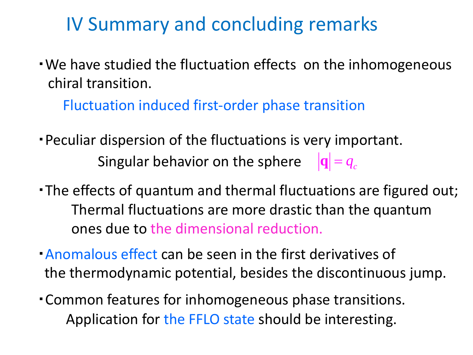## IV Summary and concluding remarks

・We have studied the fluctuation effects on the inhomogeneous chiral transition.

Fluctuation induced first-order phase transition

- ・Peculiar dispersion of the fluctuations is very important. Singular behavior on the sphere  $|\mathbf{q}| = q_c$
- ・The effects of quantum and thermal fluctuations are figured out; Thermal fluctuations are more drastic than the quantum ones due to the dimensional reduction.
- ・Anomalous effect can be seen in the first derivatives of the thermodynamic potential, besides the discontinuous jump.
- ・Common features for inhomogeneous phase transitions. Application for the FFLO state should be interesting.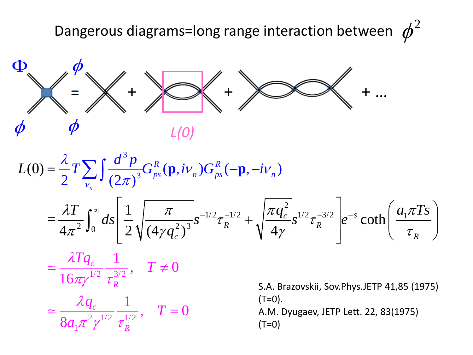Dangerous diagrams=long range interaction between  $\phi^2$ 



$$
L(0) = \frac{\lambda}{2} T \sum_{v_n} \int \frac{d^3 p}{(2\pi)^3} G_{ps}^R(\mathbf{p}, i v_n) G_{ps}^R(-\mathbf{p}, -i v_n)
$$

$$
= \frac{\lambda T}{4\pi^2} \int_0^{\infty} ds \left[ \frac{1}{2} \sqrt{\frac{\pi}{(4\gamma q_c^2)^3}} s^{-1/2} \tau_R^{-1/2} + \sqrt{\frac{\pi q_c^2}{4\gamma}} s^{1/2} \tau_R^{-3/2} \right] e^{-s} \coth\left( \frac{a_1 \pi T s}{\tau_R} \right)
$$

$$
\simeq \frac{\lambda T q_c}{16\pi\gamma^{1/2}} \frac{1}{\tau_R^{3/2}}, \quad T \neq 0
$$

$$
\simeq \frac{\lambda q_c}{8 a_1 \pi^2 \gamma^{1/2}} \frac{1}{\tau_R^{1/2}}, \quad T = 0
$$

S.A. Brazovskii, Sov.Phys.JETP 41,85 (1975)  $(T=0)$ . A.M. Dyugaev, JETP Lett. 22, 83(1975)  $(T=0)$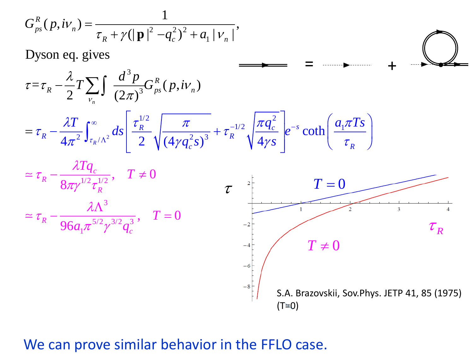$$
G_{ps}^{R}(p, i\nu_{n}) = \frac{1}{\tau_{R} + \gamma (|\mathbf{p}|^{2} - q_{c}^{2})^{2} + a_{1} |\nu_{n}|},
$$

Dyson eq. gives = + 3  $\frac{\lambda}{R} - \frac{\lambda}{2}T \sum \int \frac{d^3p}{(2-\lambda)^3} G_{ps}^R(p,iv_n)$ λ  $-\frac{\lambda}{2}T\sum\int$ *R*  $=\tau_{R} - \frac{\kappa}{2} T \sum_{V_{n}} \int \frac{\alpha P}{(2\pi)^{3}} G_{ps}^{R}(p, iV_{n})$  $\tau = \tau_{\rm b} - 1$  )  $\tau = -1$  (*p.W*) 3  $\pi$ ν *n*  $\left[\tau_p^{1/2}\right]\left[\pi\right]^{-1/2}\left[\pi q_c^2\right]^{-1}$  $\frac{1}{2}$   $\frac{1}{2}$   $\frac{1}{2}$  $\frac{T}{2}\int_{0}^{\infty}ds\left[\frac{\tau_{R}^{1/2}}{2}\right]\frac{\pi}{(4-2)^3}+\tau_{R}^{-1/2}\left[\frac{\pi q_c^2}{4}\right]e^{-s}\coth\left[\frac{a_1\pi Ts}{4}\right]$  $\lambda T$  (  $\sim$   $\begin{array}{c|c|c|c|c} & \tau^{1/2} & \pi & \pi & \pi a^2 & \pi a^2 & \pi a \end{array}$  $\infty$   $\sigma_R$   $\sigma_R^{1/2}$   $\pi$   $\sigma_{-1/2}$   $\pi q_c$   $\sigma_{-1/2}$ ∫  $R$   $\mu$   $\mu$   $\tau^{-1/2}$   $\mu$   $\tau$  $1/2$   $\frac{\mu q_c}{a^{-s}}$  of  $\frac{u_1}{a^{-1}}$ =  $-\frac{\lambda_1}{4\pi^2}\int_{\tau_R/\Lambda^2} ds \left[\frac{\tau_R}{2}\sqrt{\frac{\lambda_1}{(4\gamma q_c^2 s)^3}} + \tau_R^{-1/2}\sqrt{\frac{\lambda_1 q_c}{4\gamma s}}\right]e^{-s}\coth\left(\frac{a_1\lambda_1 s}{\tau_R}\right)$ coth  $\tau_{\rm b}$   $\rightarrow$   $\tau_{\rm c}$   $\rightarrow$   $\sim$   $\tau_{\rm c}$   $\rightarrow$   $\tau$ *R R* <sup>2</sup>  $J_{\tau_R/\Lambda^2}$  <sup>2</sup> 2  $\sqrt{(4\gamma a^2 s)^3}$ 2  $4\pi^2 \frac{J_{\tau_R/\Lambda^2}}{2}$  2  $\sqrt{(4\gamma q_c^2 s)^3}$   $\Lambda$   $\sqrt{4}$  $\sigma_R/\Lambda^2$  2  $\sqrt{(4\gamma q_c^2 s)^3}$  <sup>*k*</sup>  $\sqrt{4\gamma s}$ Λ  $\left( \begin{array}{c} \tau_R \end{array} \right)$  $\pi$ <sup>-</sup>  $\tau_R$ / $\Lambda$  | 2  $\sqrt{(4\gamma q_c s)}$   $\sqrt{4\gamma s}$  |  $\tau$  $c^{3}$   $\sqrt{75}$  $\frac{\lambda Tq_{c}}{\lambda^{\prime 2-\lambda^{\prime 2}}},\quad T$  $\simeq \tau_R - \frac{\lambda \Omega \, q_c}{\Omega \, 1/2 \, 1/2}, \quad T \neq$ *c*  $\frac{1}{1/2} \frac{q_c}{r^{1/2}}, \quad T \neq 0$  $\tau$ *R* 8  $\tau$ <sup>2</sup>  $T=0$  $\pi$ γ  $^{-}$ τ *R* 3  $\simeq \tau_R - \frac{\lambda \Lambda^3}{96a \pi^{5/2} \alpha^{3/2} \alpha^3}, \quad T = 0$  $\lambda$ ı  $\overline{3}$ = *T*  $\tau$ <sup>*R*</sup> 96 $a_1$ 5/2 *q*  $\tau_{_R}$  $\pi^- \gamma$ *c*  $T \neq 0$ S.A. Brazovskii, Sov.Phys. JETP 41, 85 (1975)  $(T\simeq 0)$ 

#### We can prove similar behavior in the FFLO case.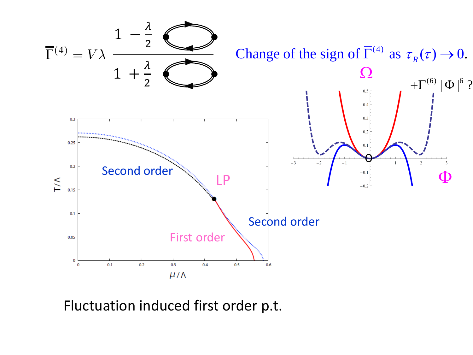

Fluctuation induced first order p.t.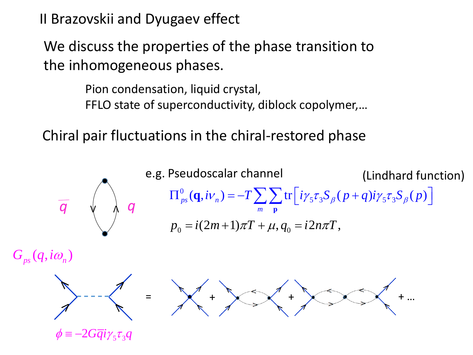II Brazovskii and Dyugaev effect

We discuss the properties of the phase transition to the inhomogeneous phases.

> Pion condensation, liquid crystal, FFLO state of superconductivity, diblock copolymer,…

Chiral pair fluctuations in the chiral-restored phase